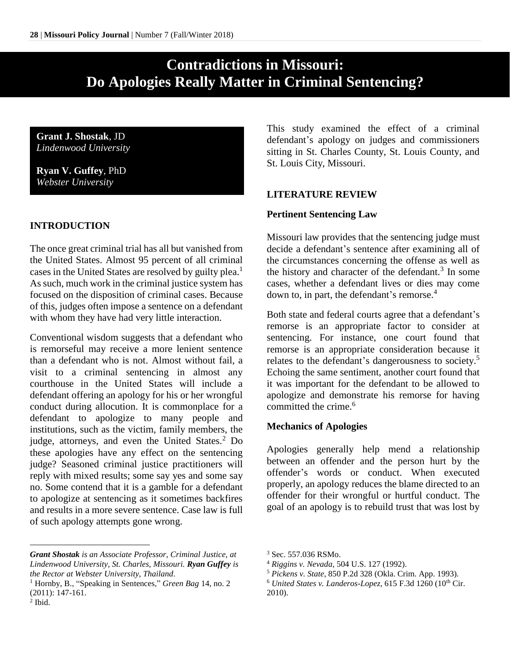# **Contradictions in Missouri: Do Apologies Really Matter in Criminal Sentencing?**

**Grant J. Shostak**, JD *Lindenwood University*

**Ryan V. Guffey**, PhD *Webster University*

## **INTRODUCTION**

 $\overline{a}$ 

The once great criminal trial has all but vanished from the United States. Almost 95 percent of all criminal cases in the United States are resolved by guilty plea.<sup>1</sup> As such, much work in the criminal justice system has focused on the disposition of criminal cases. Because of this, judges often impose a sentence on a defendant with whom they have had very little interaction.

Conventional wisdom suggests that a defendant who is remorseful may receive a more lenient sentence than a defendant who is not. Almost without fail, a visit to a criminal sentencing in almost any courthouse in the United States will include a defendant offering an apology for his or her wrongful conduct during allocution. It is commonplace for a defendant to apologize to many people and institutions, such as the victim, family members, the judge, attorneys, and even the United States.<sup>2</sup> Do these apologies have any effect on the sentencing judge? Seasoned criminal justice practitioners will reply with mixed results; some say yes and some say no. Some contend that it is a gamble for a defendant to apologize at sentencing as it sometimes backfires and results in a more severe sentence. Case law is full of such apology attempts gone wrong.

*Grant Shostak is an Associate Professor, Criminal Justice, at Lindenwood University, St. Charles, Missouri. Ryan Guffey is the Rector at Webster University, Thailand.*

This study examined the effect of a criminal defendant's apology on judges and commissioners sitting in St. Charles County, St. Louis County, and St. Louis City, Missouri.

## **LITERATURE REVIEW**

#### **Pertinent Sentencing Law**

Missouri law provides that the sentencing judge must decide a defendant's sentence after examining all of the circumstances concerning the offense as well as the history and character of the defendant.<sup>3</sup> In some cases, whether a defendant lives or dies may come down to, in part, the defendant's remorse.<sup>4</sup>

Both state and federal courts agree that a defendant's remorse is an appropriate factor to consider at sentencing. For instance, one court found that remorse is an appropriate consideration because it relates to the defendant's dangerousness to society.<sup>5</sup> Echoing the same sentiment, another court found that it was important for the defendant to be allowed to apologize and demonstrate his remorse for having committed the crime.<sup>6</sup>

#### **Mechanics of Apologies**

Apologies generally help mend a relationship between an offender and the person hurt by the offender's words or conduct. When executed properly, an apology reduces the blame directed to an offender for their wrongful or hurtful conduct. The goal of an apology is to rebuild trust that was lost by

<sup>1</sup> Hornby, B., "Speaking in Sentences," *Green Bag* 14, no. 2 (2011): 147-161.  $<sup>2</sup>$  Ibid.</sup>

<sup>3</sup> Sec. 557.036 RSMo.

<sup>4</sup> *Riggins v. Nevada*, 504 U.S. 127 (1992).

<sup>5</sup> *Pickens v. State*, 850 P.2d 328 (Okla. Crim. App. 1993).

<sup>&</sup>lt;sup>6</sup> United States v. Landeros-Lopez, 615 F.3d 1260 (10<sup>th</sup> Cir. 2010).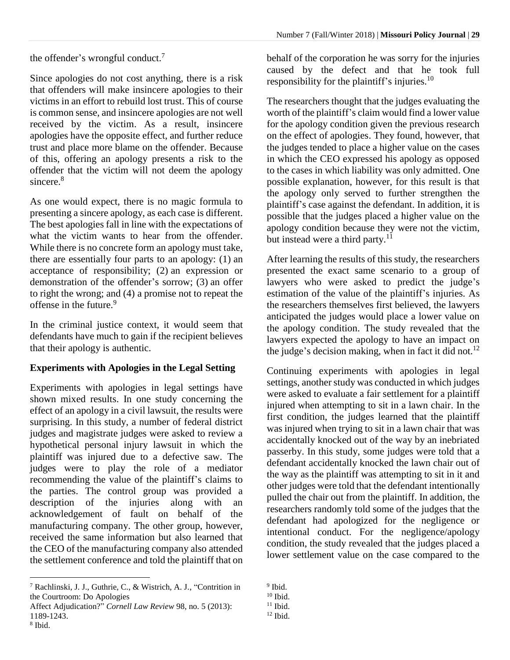the offender's wrongful conduct.<sup>7</sup>

Since apologies do not cost anything, there is a risk that offenders will make insincere apologies to their victims in an effort to rebuild lost trust. This of course is common sense, and insincere apologies are not well received by the victim. As a result, insincere apologies have the opposite effect, and further reduce trust and place more blame on the offender. Because of this, offering an apology presents a risk to the offender that the victim will not deem the apology sincere.<sup>8</sup>

As one would expect, there is no magic formula to presenting a sincere apology, as each case is different. The best apologies fall in line with the expectations of what the victim wants to hear from the offender. While there is no concrete form an apology must take, there are essentially four parts to an apology: (1) an acceptance of responsibility; (2) an expression or demonstration of the offender's sorrow; (3) an offer to right the wrong; and (4) a promise not to repeat the offense in the future.<sup>9</sup>

In the criminal justice context, it would seem that defendants have much to gain if the recipient believes that their apology is authentic.

#### **Experiments with Apologies in the Legal Setting**

Experiments with apologies in legal settings have shown mixed results. In one study concerning the effect of an apology in a civil lawsuit, the results were surprising. In this study, a number of federal district judges and magistrate judges were asked to review a hypothetical personal injury lawsuit in which the plaintiff was injured due to a defective saw. The judges were to play the role of a mediator recommending the value of the plaintiff's claims to the parties. The control group was provided a description of the injuries along with an acknowledgement of fault on behalf of the manufacturing company. The other group, however, received the same information but also learned that the CEO of the manufacturing company also attended the settlement conference and told the plaintiff that on

 $\overline{a}$ 

behalf of the corporation he was sorry for the injuries caused by the defect and that he took full responsibility for the plaintiff's injuries.<sup>10</sup>

The researchers thought that the judges evaluating the worth of the plaintiff's claim would find a lower value for the apology condition given the previous research on the effect of apologies. They found, however, that the judges tended to place a higher value on the cases in which the CEO expressed his apology as opposed to the cases in which liability was only admitted. One possible explanation, however, for this result is that the apology only served to further strengthen the plaintiff's case against the defendant. In addition, it is possible that the judges placed a higher value on the apology condition because they were not the victim, but instead were a third party.<sup>11</sup>

After learning the results of this study, the researchers presented the exact same scenario to a group of lawyers who were asked to predict the judge's estimation of the value of the plaintiff's injuries. As the researchers themselves first believed, the lawyers anticipated the judges would place a lower value on the apology condition. The study revealed that the lawyers expected the apology to have an impact on the judge's decision making, when in fact it did not.<sup>12</sup>

Continuing experiments with apologies in legal settings, another study was conducted in which judges were asked to evaluate a fair settlement for a plaintiff injured when attempting to sit in a lawn chair. In the first condition, the judges learned that the plaintiff was injured when trying to sit in a lawn chair that was accidentally knocked out of the way by an inebriated passerby. In this study, some judges were told that a defendant accidentally knocked the lawn chair out of the way as the plaintiff was attempting to sit in it and other judges were told that the defendant intentionally pulled the chair out from the plaintiff. In addition, the researchers randomly told some of the judges that the defendant had apologized for the negligence or intentional conduct. For the negligence/apology condition, the study revealed that the judges placed a lower settlement value on the case compared to the

<sup>7</sup> Rachlinski, J. J., Guthrie, C., & Wistrich, A. J., "Contrition in the Courtroom: Do Apologies

Affect Adjudication?" *Cornell Law Review* 98, no. 5 (2013): 1189-1243. 8 Ibid.

<sup>&</sup>lt;sup>9</sup> Ibid.

 $10$  Ibid.

 $11$  Ibid.

 $^{12}$  Ibid.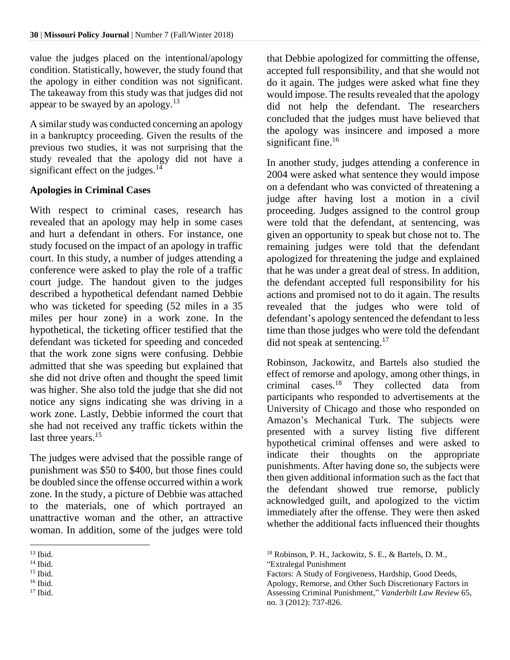value the judges placed on the intentional/apology condition. Statistically, however, the study found that the apology in either condition was not significant. The takeaway from this study was that judges did not appear to be swayed by an apology. $13$ 

A similar study was conducted concerning an apology in a bankruptcy proceeding. Given the results of the previous two studies, it was not surprising that the study revealed that the apology did not have a significant effect on the judges. $14$ 

## **Apologies in Criminal Cases**

With respect to criminal cases, research has revealed that an apology may help in some cases and hurt a defendant in others. For instance, one study focused on the impact of an apology in traffic court. In this study, a number of judges attending a conference were asked to play the role of a traffic court judge. The handout given to the judges described a hypothetical defendant named Debbie who was ticketed for speeding (52 miles in a 35 miles per hour zone) in a work zone. In the hypothetical, the ticketing officer testified that the defendant was ticketed for speeding and conceded that the work zone signs were confusing. Debbie admitted that she was speeding but explained that she did not drive often and thought the speed limit was higher. She also told the judge that she did not notice any signs indicating she was driving in a work zone. Lastly, Debbie informed the court that she had not received any traffic tickets within the last three years.<sup>15</sup>

The judges were advised that the possible range of punishment was \$50 to \$400, but those fines could be doubled since the offense occurred within a work zone. In the study, a picture of Debbie was attached to the materials, one of which portrayed an unattractive woman and the other, an attractive woman. In addition, some of the judges were told

 $\overline{a}$ 

that Debbie apologized for committing the offense, accepted full responsibility, and that she would not do it again. The judges were asked what fine they would impose. The results revealed that the apology did not help the defendant. The researchers concluded that the judges must have believed that the apology was insincere and imposed a more significant fine. $16$ 

In another study, judges attending a conference in 2004 were asked what sentence they would impose on a defendant who was convicted of threatening a judge after having lost a motion in a civil proceeding. Judges assigned to the control group were told that the defendant, at sentencing, was given an opportunity to speak but chose not to. The remaining judges were told that the defendant apologized for threatening the judge and explained that he was under a great deal of stress. In addition, the defendant accepted full responsibility for his actions and promised not to do it again. The results revealed that the judges who were told of defendant's apology sentenced the defendant to less time than those judges who were told the defendant did not speak at sentencing.<sup>17</sup>

Robinson, Jackowitz, and Bartels also studied the effect of remorse and apology, among other things, in criminal cases.<sup>18</sup> They collected data from participants who responded to advertisements at the University of Chicago and those who responded on Amazon's Mechanical Turk. The subjects were presented with a survey listing five different hypothetical criminal offenses and were asked to indicate their thoughts on the appropriate punishments. After having done so, the subjects were then given additional information such as the fact that the defendant showed true remorse, publicly acknowledged guilt, and apologized to the victim immediately after the offense. They were then asked whether the additional facts influenced their thoughts

 $13$  Ibid.

 $14$  Ibid.

<sup>15</sup> Ibid.

<sup>16</sup> Ibid.

 $17$  Ibid.

<sup>18</sup> Robinson, P. H., Jackowitz, S. E., & Bartels, D. M., "Extralegal Punishment

Factors: A Study of Forgiveness, Hardship, Good Deeds, Apology, Remorse, and Other Such Discretionary Factors in Assessing Criminal Punishment," *Vanderbilt Law Review* 65, no. 3 (2012): 737-826.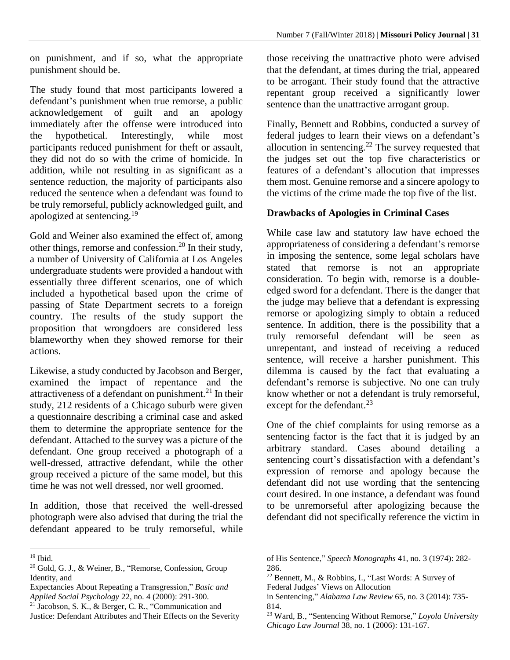on punishment, and if so, what the appropriate punishment should be.

The study found that most participants lowered a defendant's punishment when true remorse, a public acknowledgement of guilt and an apology immediately after the offense were introduced into the hypothetical. Interestingly, while most participants reduced punishment for theft or assault, they did not do so with the crime of homicide. In addition, while not resulting in as significant as a sentence reduction, the majority of participants also reduced the sentence when a defendant was found to be truly remorseful, publicly acknowledged guilt, and apologized at sentencing.<sup>19</sup>

Gold and Weiner also examined the effect of, among other things, remorse and confession. <sup>20</sup> In their study, a number of University of California at Los Angeles undergraduate students were provided a handout with essentially three different scenarios, one of which included a hypothetical based upon the crime of passing of State Department secrets to a foreign country. The results of the study support the proposition that wrongdoers are considered less blameworthy when they showed remorse for their actions.

Likewise, a study conducted by Jacobson and Berger, examined the impact of repentance and the attractiveness of a defendant on punishment.<sup>21</sup> In their study, 212 residents of a Chicago suburb were given a questionnaire describing a criminal case and asked them to determine the appropriate sentence for the defendant. Attached to the survey was a picture of the defendant. One group received a photograph of a well-dressed, attractive defendant, while the other group received a picture of the same model, but this time he was not well dressed, nor well groomed.

In addition, those that received the well-dressed photograph were also advised that during the trial the defendant appeared to be truly remorseful, while

 $\overline{a}$ 

those receiving the unattractive photo were advised that the defendant, at times during the trial, appeared to be arrogant. Their study found that the attractive repentant group received a significantly lower sentence than the unattractive arrogant group.

Finally, Bennett and Robbins, conducted a survey of federal judges to learn their views on a defendant's allocution in sentencing.<sup>22</sup> The survey requested that the judges set out the top five characteristics or features of a defendant's allocution that impresses them most. Genuine remorse and a sincere apology to the victims of the crime made the top five of the list.

## **Drawbacks of Apologies in Criminal Cases**

While case law and statutory law have echoed the appropriateness of considering a defendant's remorse in imposing the sentence, some legal scholars have stated that remorse is not an appropriate consideration. To begin with, remorse is a doubleedged sword for a defendant. There is the danger that the judge may believe that a defendant is expressing remorse or apologizing simply to obtain a reduced sentence. In addition, there is the possibility that a truly remorseful defendant will be seen as unrepentant, and instead of receiving a reduced sentence, will receive a harsher punishment. This dilemma is caused by the fact that evaluating a defendant's remorse is subjective. No one can truly know whether or not a defendant is truly remorseful, except for the defendant.<sup>23</sup>

One of the chief complaints for using remorse as a sentencing factor is the fact that it is judged by an arbitrary standard. Cases abound detailing a sentencing court's dissatisfaction with a defendant's expression of remorse and apology because the defendant did not use wording that the sentencing court desired. In one instance, a defendant was found to be unremorseful after apologizing because the defendant did not specifically reference the victim in

- <sup>22</sup> Bennett, M., & Robbins, I., "Last Words: A Survey of
- Federal Judges' Views on Allocution
- in Sentencing," *Alabama Law Review* 65, no. 3 (2014): 735- 814.

<sup>19</sup> Ibid.

<sup>20</sup> Gold, G. J., & Weiner, B., "Remorse, Confession, Group Identity, and

Expectancies About Repeating a Transgression," *Basic and Applied Social Psychology* 22, no. 4 (2000): 291-300.

 $21$  Jacobson, S. K., & Berger, C. R., "Communication and Justice: Defendant Attributes and Their Effects on the Severity

of His Sentence," *Speech Monographs* 41, no. 3 (1974): 282- 286.

<sup>23</sup> Ward, B., "Sentencing Without Remorse," *Loyola University Chicago Law Journal* 38, no. 1 (2006): 131-167.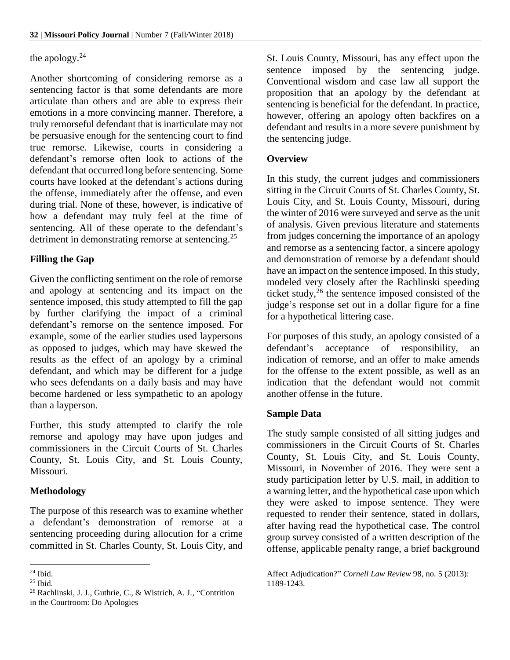## the apology.<sup>24</sup>

Another shortcoming of considering remorse as a sentencing factor is that some defendants are more articulate than others and are able to express their emotions in a more convincing manner. Therefore, a truly remorseful defendant that is inarticulate may not be persuasive enough for the sentencing court to find true remorse. Likewise, courts in considering a defendant's remorse often look to actions of the defendant that occurred long before sentencing. Some courts have looked at the defendant's actions during the offense, immediately after the offense, and even during trial. None of these, however, is indicative of how a defendant may truly feel at the time of sentencing. All of these operate to the defendant's detriment in demonstrating remorse at sentencing.<sup>25</sup>

## **Filling the Gap**

Given the conflicting sentiment on the role of remorse and apology at sentencing and its impact on the sentence imposed, this study attempted to fill the gap by further clarifying the impact of a criminal defendant's remorse on the sentence imposed. For example, some of the earlier studies used laypersons as opposed to judges, which may have skewed the results as the effect of an apology by a criminal defendant, and which may be different for a judge who sees defendants on a daily basis and may have become hardened or less sympathetic to an apology than a layperson.

Further, this study attempted to clarify the role remorse and apology may have upon judges and commissioners in the Circuit Courts of St. Charles County, St. Louis City, and St. Louis County, Missouri.

#### **Methodology**

The purpose of this research was to examine whether a defendant's demonstration of remorse at a sentencing proceeding during allocution for a crime committed in St. Charles County, St. Louis City, and

St. Louis County, Missouri, has any effect upon the sentence imposed by the sentencing judge. Conventional wisdom and case law all support the proposition that an apology by the defendant at sentencing is beneficial for the defendant. In practice, however, offering an apology often backfires on a defendant and results in a more severe punishment by the sentencing judge.

#### **Overview**

In this study, the current judges and commissioners sitting in the Circuit Courts of St. Charles County, St. Louis City, and St. Louis County, Missouri, during the winter of 2016 were surveyed and serve as the unit of analysis. Given previous literature and statements from judges concerning the importance of an apology and remorse as a sentencing factor, a sincere apology and demonstration of remorse by a defendant should have an impact on the sentence imposed. In this study, modeled very closely after the Rachlinski speeding ticket study, $26$  the sentence imposed consisted of the judge's response set out in a dollar figure for a fine for a hypothetical littering case.

For purposes of this study, an apology consisted of a defendant's acceptance of responsibility, an indication of remorse, and an offer to make amends for the offense to the extent possible, as well as an indication that the defendant would not commit another offense in the future.

#### **Sample Data**

The study sample consisted of all sitting judges and commissioners in the Circuit Courts of St. Charles County, St. Louis City, and St. Louis County, Missouri, in November of 2016. They were sent a study participation letter by U.S. mail, in addition to a warning letter, and the hypothetical case upon which they were asked to impose sentence. They were requested to render their sentence, stated in dollars, after having read the hypothetical case. The control group survey consisted of a written description of the offense, applicable penalty range, a brief background

 $\overline{a}$  $24$  Ibid.

<sup>25</sup> Ibid.

<sup>26</sup> Rachlinski, J. J., Guthrie, C., & Wistrich, A. J., "Contrition in the Courtroom: Do Apologies

Affect Adjudication?" *Cornell Law Review* 98, no. 5 (2013): 1189-1243.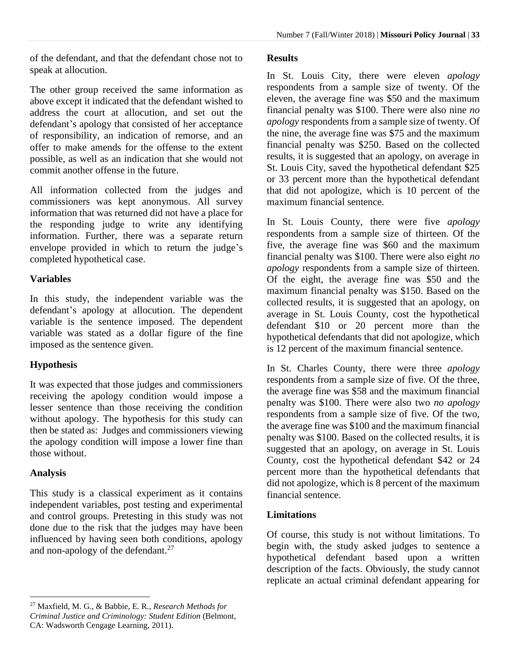of the defendant, and that the defendant chose not to speak at allocution.

The other group received the same information as above except it indicated that the defendant wished to address the court at allocution, and set out the defendant's apology that consisted of her acceptance of responsibility, an indication of remorse, and an offer to make amends for the offense to the extent possible, as well as an indication that she would not commit another offense in the future.

All information collected from the judges and commissioners was kept anonymous. All survey information that was returned did not have a place for the responding judge to write any identifying information. Further, there was a separate return envelope provided in which to return the judge's completed hypothetical case.

## **Variables**

In this study, the independent variable was the defendant's apology at allocution. The dependent variable is the sentence imposed. The dependent variable was stated as a dollar figure of the fine imposed as the sentence given.

# **Hypothesis**

It was expected that those judges and commissioners receiving the apology condition would impose a lesser sentence than those receiving the condition without apology. The hypothesis for this study can then be stated as: Judges and commissioners viewing the apology condition will impose a lower fine than those without.

# **Analysis**

 $\overline{a}$ 

This study is a classical experiment as it contains independent variables, post testing and experimental and control groups. Pretesting in this study was not done due to the risk that the judges may have been influenced by having seen both conditions, apology and non-apology of the defendant.<sup>27</sup>

## **Results**

In St. Louis City, there were eleven *apology* respondents from a sample size of twenty. Of the eleven, the average fine was \$50 and the maximum financial penalty was \$100. There were also nine *no apology* respondents from a sample size of twenty. Of the nine, the average fine was \$75 and the maximum financial penalty was \$250. Based on the collected results, it is suggested that an apology, on average in St. Louis City, saved the hypothetical defendant \$25 or 33 percent more than the hypothetical defendant that did not apologize, which is 10 percent of the maximum financial sentence.

In St. Louis County, there were five *apology* respondents from a sample size of thirteen. Of the five, the average fine was \$60 and the maximum financial penalty was \$100. There were also eight *no apology* respondents from a sample size of thirteen. Of the eight, the average fine was \$50 and the maximum financial penalty was \$150. Based on the collected results, it is suggested that an apology, on average in St. Louis County, cost the hypothetical defendant \$10 or 20 percent more than the hypothetical defendants that did not apologize, which is 12 percent of the maximum financial sentence.

In St. Charles County, there were three *apology* respondents from a sample size of five. Of the three, the average fine was \$58 and the maximum financial penalty was \$100. There were also two *no apology* respondents from a sample size of five. Of the two, the average fine was \$100 and the maximum financial penalty was \$100. Based on the collected results, it is suggested that an apology, on average in St. Louis County, cost the hypothetical defendant \$42 or 24 percent more than the hypothetical defendants that did not apologize, which is 8 percent of the maximum financial sentence.

# **Limitations**

Of course, this study is not without limitations. To begin with, the study asked judges to sentence a hypothetical defendant based upon a written description of the facts. Obviously, the study cannot replicate an actual criminal defendant appearing for

<sup>27</sup> Maxfield, M. G., & Babbie, E. R., *Research Methods for Criminal Justice and Criminology: Student Edition* (Belmont, CA: Wadsworth Cengage Learning, 2011).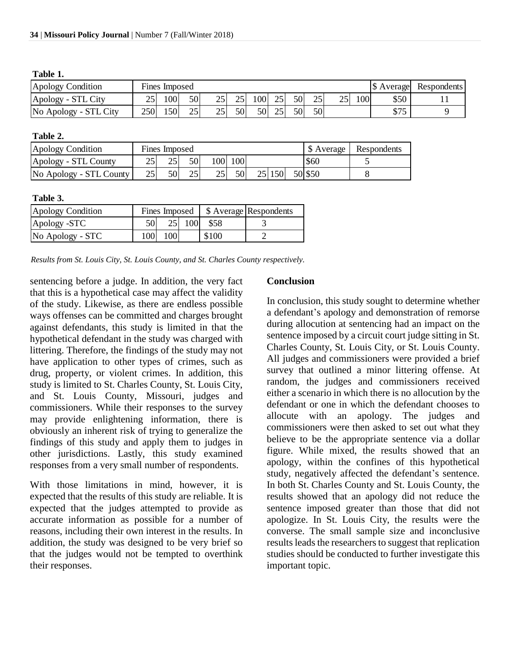| able |  |
|------|--|
|------|--|

| Apology Condition     |     | Fines Imposed |    |               |    |               |    |    |    |         |                 | S Average   | Respondents |
|-----------------------|-----|---------------|----|---------------|----|---------------|----|----|----|---------|-----------------|-------------|-------------|
| Apology - STL City    | 25  | 100'          | 50 | $\Omega$<br>ت | 25 | $100^{\circ}$ | 25 | 50 | 25 | つべ<br>∼ | 00 <sup>1</sup> | \$50        |             |
| No Apology - STL City | 250 | ا50،          | 25 | つぐ<br>ىك      | 50 | 50            | 25 | 50 | 50 |         |                 | Q75<br>ر رو |             |

#### **Table 2.**

| Apology Condition       |    | Fines Imposed |    |     | \$ Average | Respondents |  |         |  |
|-------------------------|----|---------------|----|-----|------------|-------------|--|---------|--|
| Apology - STL County    |    | 25            | 50 | 100 | 100        |             |  | \$60    |  |
| No Apology - STL County | 25 | 50            | 25 | 251 | 50         | 25 150      |  | 50 \$50 |  |

#### **Table 3.**

| Apology Condition | Fines Imposed   \$ Average Respondents |     |     |       |  |
|-------------------|----------------------------------------|-----|-----|-------|--|
| Apology -STC      |                                        | 25  | 100 | \$58  |  |
| No Apology - STC  | 1001                                   | 100 |     | \$100 |  |

*Results from St. Louis City, St. Louis County, and St. Charles County respectively.*

sentencing before a judge. In addition, the very fact that this is a hypothetical case may affect the validity of the study. Likewise, as there are endless possible ways offenses can be committed and charges brought against defendants, this study is limited in that the hypothetical defendant in the study was charged with littering. Therefore, the findings of the study may not have application to other types of crimes, such as drug, property, or violent crimes. In addition, this study is limited to St. Charles County, St. Louis City, and St. Louis County, Missouri, judges and commissioners. While their responses to the survey may provide enlightening information, there is obviously an inherent risk of trying to generalize the findings of this study and apply them to judges in other jurisdictions. Lastly, this study examined responses from a very small number of respondents.

With those limitations in mind, however, it is expected that the results of this study are reliable. It is expected that the judges attempted to provide as accurate information as possible for a number of reasons, including their own interest in the results. In addition, the study was designed to be very brief so that the judges would not be tempted to overthink their responses.

#### **Conclusion**

In conclusion, this study sought to determine whether a defendant's apology and demonstration of remorse during allocution at sentencing had an impact on the sentence imposed by a circuit court judge sitting in St. Charles County, St. Louis City, or St. Louis County. All judges and commissioners were provided a brief survey that outlined a minor littering offense. At random, the judges and commissioners received either a scenario in which there is no allocution by the defendant or one in which the defendant chooses to allocute with an apology. The judges and commissioners were then asked to set out what they believe to be the appropriate sentence via a dollar figure. While mixed, the results showed that an apology, within the confines of this hypothetical study, negatively affected the defendant's sentence. In both St. Charles County and St. Louis County, the results showed that an apology did not reduce the sentence imposed greater than those that did not apologize. In St. Louis City, the results were the converse. The small sample size and inconclusive results leads the researchers to suggest that replication studies should be conducted to further investigate this important topic.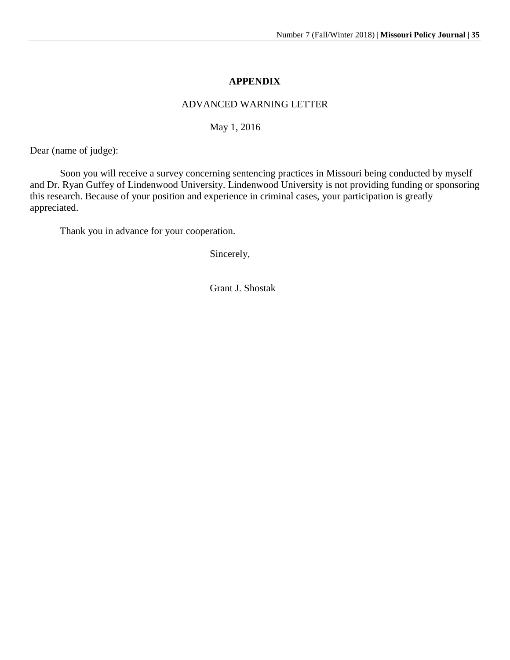#### **APPENDIX**

#### ADVANCED WARNING LETTER

May 1, 2016

Dear (name of judge):

Soon you will receive a survey concerning sentencing practices in Missouri being conducted by myself and Dr. Ryan Guffey of Lindenwood University. Lindenwood University is not providing funding or sponsoring this research. Because of your position and experience in criminal cases, your participation is greatly appreciated.

Thank you in advance for your cooperation.

Sincerely,

Grant J. Shostak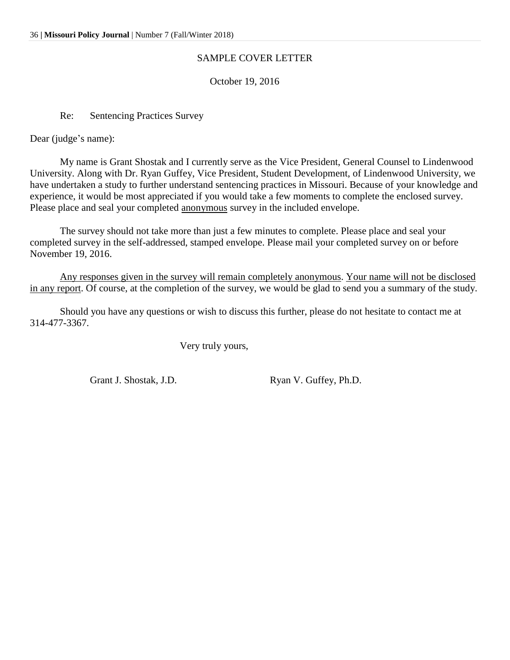#### SAMPLE COVER LETTER

October 19, 2016

Re: Sentencing Practices Survey

Dear (judge's name):

My name is Grant Shostak and I currently serve as the Vice President, General Counsel to Lindenwood University. Along with Dr. Ryan Guffey, Vice President, Student Development, of Lindenwood University, we have undertaken a study to further understand sentencing practices in Missouri. Because of your knowledge and experience, it would be most appreciated if you would take a few moments to complete the enclosed survey. Please place and seal your completed anonymous survey in the included envelope.

The survey should not take more than just a few minutes to complete. Please place and seal your completed survey in the self-addressed, stamped envelope. Please mail your completed survey on or before November 19, 2016.

Any responses given in the survey will remain completely anonymous. Your name will not be disclosed in any report. Of course, at the completion of the survey, we would be glad to send you a summary of the study.

Should you have any questions or wish to discuss this further, please do not hesitate to contact me at 314-477-3367.

Very truly yours,

Grant J. Shostak, J.D. Ryan V. Guffey, Ph.D.